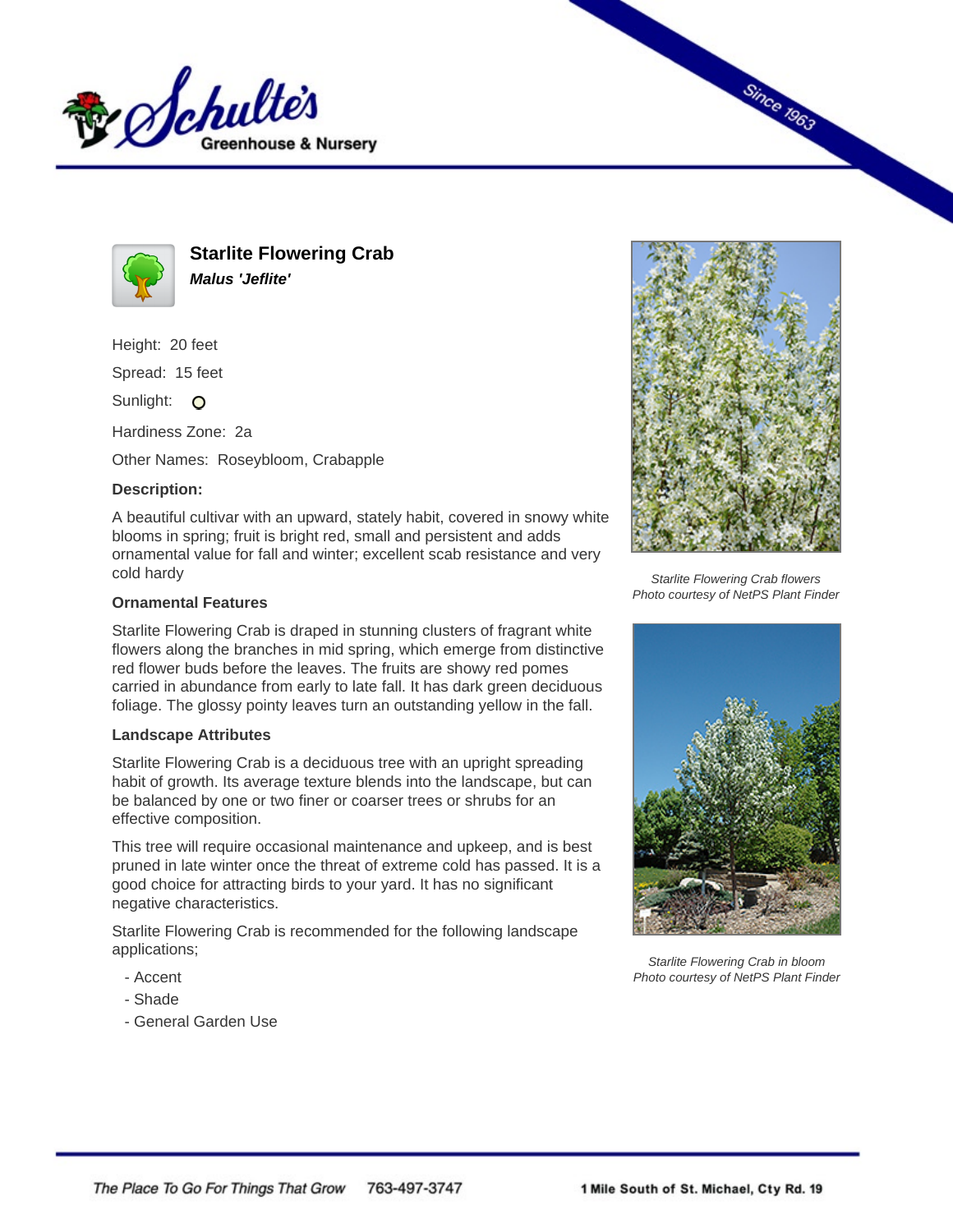



**Starlite Flowering Crab Malus 'Jeflite'**

Height: 20 feet

Spread: 15 feet

Sunlight: O

Hardiness Zone: 2a

Other Names: Roseybloom, Crabapple

## **Description:**

A beautiful cultivar with an upward, stately habit, covered in snowy white blooms in spring; fruit is bright red, small and persistent and adds ornamental value for fall and winter; excellent scab resistance and very cold hardy

## **Ornamental Features**

Starlite Flowering Crab is draped in stunning clusters of fragrant white flowers along the branches in mid spring, which emerge from distinctive red flower buds before the leaves. The fruits are showy red pomes carried in abundance from early to late fall. It has dark green deciduous foliage. The glossy pointy leaves turn an outstanding yellow in the fall.

## **Landscape Attributes**

Starlite Flowering Crab is a deciduous tree with an upright spreading habit of growth. Its average texture blends into the landscape, but can be balanced by one or two finer or coarser trees or shrubs for an effective composition.

This tree will require occasional maintenance and upkeep, and is best pruned in late winter once the threat of extreme cold has passed. It is a good choice for attracting birds to your yard. It has no significant negative characteristics.

Starlite Flowering Crab is recommended for the following landscape applications;

- Accent
- Shade
- General Garden Use



**Since 1963** 

Starlite Flowering Crab flowers Photo courtesy of NetPS Plant Finder



Starlite Flowering Crab in bloom Photo courtesy of NetPS Plant Finder